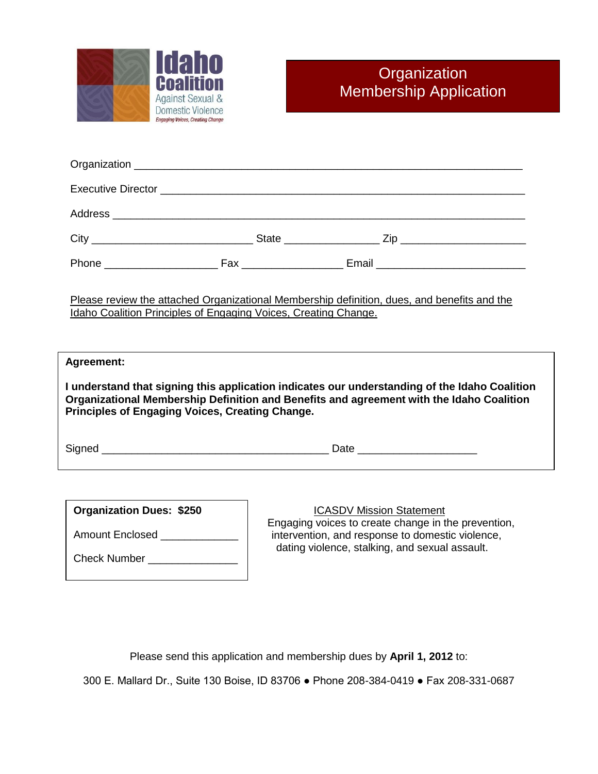

| Please review the attached Organizational Membership definition, dues, and benefits and the<br>Idaho Coalition Principles of Engaging Voices, Creating Change.                                                                                             |  |  |  |  |
|------------------------------------------------------------------------------------------------------------------------------------------------------------------------------------------------------------------------------------------------------------|--|--|--|--|
| Agreement:<br>I understand that signing this application indicates our understanding of the Idaho Coalition<br>Organizational Membership Definition and Benefits and agreement with the Idaho Coalition<br>Principles of Engaging Voices, Creating Change. |  |  |  |  |
|                                                                                                                                                                                                                                                            |  |  |  |  |
|                                                                                                                                                                                                                                                            |  |  |  |  |

| <b>Organization Dues: \$250</b> |  |
|---------------------------------|--|
| Amount Enclosed                 |  |
| <b>Check Number</b>             |  |

# ICASDV Mission Statement

 Engaging voices to create change in the prevention, intervention, and response to domestic violence, dating violence, stalking, and sexual assault.

Please send this application and membership dues by **April 1, 2012** to:

300 E. Mallard Dr., Suite 130 Boise, ID 83706 ● Phone 208-384-0419 ● Fax 208-331-0687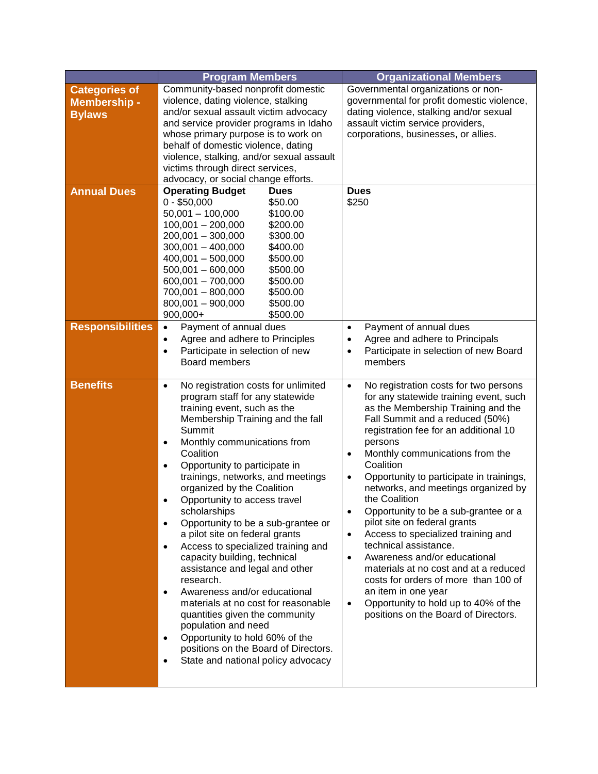|                                                              | <b>Program Members</b>                                                                                                                                                                                                                                                                                                                                                                                                                                                                                                                                                                                                                                                                                                                                                                                                                                                         | <b>Organizational Members</b>                                                                                                                                                                                                                                                                                                                                                                                                                                                                                                                                                                                                                                                                                                                                                                                              |
|--------------------------------------------------------------|--------------------------------------------------------------------------------------------------------------------------------------------------------------------------------------------------------------------------------------------------------------------------------------------------------------------------------------------------------------------------------------------------------------------------------------------------------------------------------------------------------------------------------------------------------------------------------------------------------------------------------------------------------------------------------------------------------------------------------------------------------------------------------------------------------------------------------------------------------------------------------|----------------------------------------------------------------------------------------------------------------------------------------------------------------------------------------------------------------------------------------------------------------------------------------------------------------------------------------------------------------------------------------------------------------------------------------------------------------------------------------------------------------------------------------------------------------------------------------------------------------------------------------------------------------------------------------------------------------------------------------------------------------------------------------------------------------------------|
| <b>Categories of</b><br><b>Membership -</b><br><b>Bylaws</b> | Community-based nonprofit domestic<br>violence, dating violence, stalking<br>and/or sexual assault victim advocacy<br>and service provider programs in Idaho<br>whose primary purpose is to work on<br>behalf of domestic violence, dating<br>violence, stalking, and/or sexual assault<br>victims through direct services,<br>advocacy, or social change efforts.                                                                                                                                                                                                                                                                                                                                                                                                                                                                                                             | Governmental organizations or non-<br>governmental for profit domestic violence,<br>dating violence, stalking and/or sexual<br>assault victim service providers,<br>corporations, businesses, or allies.                                                                                                                                                                                                                                                                                                                                                                                                                                                                                                                                                                                                                   |
| <b>Annual Dues</b>                                           | <b>Operating Budget</b><br><b>Dues</b><br>$0 - $50,000$<br>\$50.00<br>$50,001 - 100,000$<br>\$100.00<br>$100,001 - 200,000$<br>\$200.00<br>200,001 - 300,000<br>\$300.00<br>$300,001 - 400,000$<br>\$400.00<br>$400,001 - 500,000$<br>\$500.00<br>$500,001 - 600,000$<br>\$500.00<br>$600,001 - 700,000$<br>\$500.00<br>700,001 - 800,000<br>\$500.00<br>800,001 - 900,000<br>\$500.00<br>900,000+<br>\$500.00                                                                                                                                                                                                                                                                                                                                                                                                                                                                 | <b>Dues</b><br>\$250                                                                                                                                                                                                                                                                                                                                                                                                                                                                                                                                                                                                                                                                                                                                                                                                       |
| <b>Responsibilities</b>                                      | Payment of annual dues<br>$\bullet$<br>Agree and adhere to Principles<br>$\bullet$<br>Participate in selection of new<br>$\bullet$<br>Board members                                                                                                                                                                                                                                                                                                                                                                                                                                                                                                                                                                                                                                                                                                                            | Payment of annual dues<br>$\bullet$<br>Agree and adhere to Principals<br>$\bullet$<br>Participate in selection of new Board<br>$\bullet$<br>members                                                                                                                                                                                                                                                                                                                                                                                                                                                                                                                                                                                                                                                                        |
| <b>Benefits</b>                                              | No registration costs for unlimited<br>$\bullet$<br>program staff for any statewide<br>training event, such as the<br>Membership Training and the fall<br>Summit<br>Monthly communications from<br>$\bullet$<br>Coalition<br>Opportunity to participate in<br>$\bullet$<br>trainings, networks, and meetings<br>organized by the Coalition<br>Opportunity to access travel<br>scholarships<br>Opportunity to be a sub-grantee or<br>$\bullet$<br>a pilot site on federal grants<br>Access to specialized training and<br>$\bullet$<br>capacity building, technical<br>assistance and legal and other<br>research.<br>Awareness and/or educational<br>materials at no cost for reasonable<br>quantities given the community<br>population and need<br>Opportunity to hold 60% of the<br>positions on the Board of Directors.<br>State and national policy advocacy<br>$\bullet$ | No registration costs for two persons<br>$\bullet$<br>for any statewide training event, such<br>as the Membership Training and the<br>Fall Summit and a reduced (50%)<br>registration fee for an additional 10<br>persons<br>Monthly communications from the<br>$\bullet$<br>Coalition<br>Opportunity to participate in trainings,<br>$\bullet$<br>networks, and meetings organized by<br>the Coalition<br>Opportunity to be a sub-grantee or a<br>$\bullet$<br>pilot site on federal grants<br>Access to specialized training and<br>$\bullet$<br>technical assistance.<br>Awareness and/or educational<br>$\bullet$<br>materials at no cost and at a reduced<br>costs for orders of more than 100 of<br>an item in one year<br>Opportunity to hold up to 40% of the<br>$\bullet$<br>positions on the Board of Directors. |